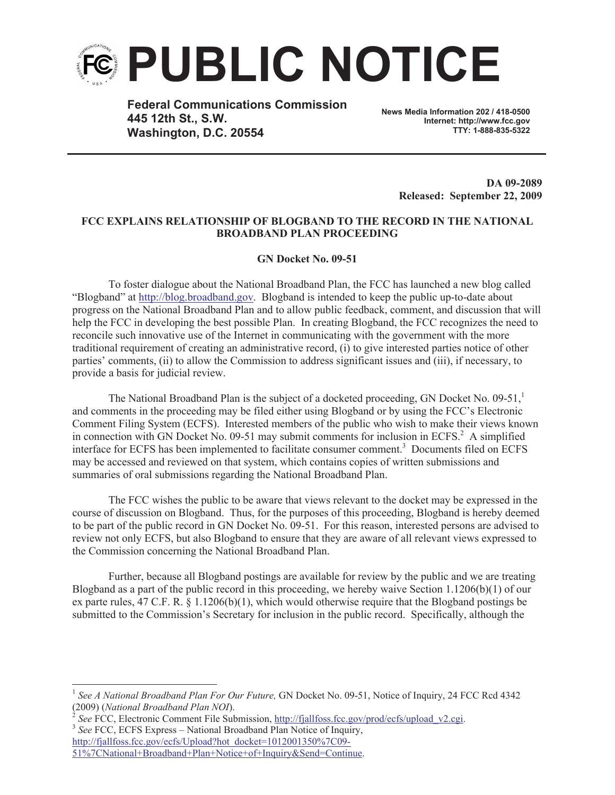

**Federal Communications Commission 445 12th St., S.W. Washington, D.C. 20554**

**News Media Information 202 / 418-0500 Internet: http://www.fcc.gov TTY: 1-888-835-5322**

> **DA 09-2089 Released: September 22, 2009**

## **FCC EXPLAINS RELATIONSHIP OF BLOGBAND TO THE RECORD IN THE NATIONAL BROADBAND PLAN PROCEEDING**

## **GN Docket No. 09-51**

To foster dialogue about the National Broadband Plan, the FCC has launched a new blog called "Blogband" at http://blog.broadband.gov. Blogband is intended to keep the public up-to-date about progress on the National Broadband Plan and to allow public feedback, comment, and discussion that will help the FCC in developing the best possible Plan. In creating Blogband, the FCC recognizes the need to reconcile such innovative use of the Internet in communicating with the government with the more traditional requirement of creating an administrative record, (i) to give interested parties notice of other parties' comments, (ii) to allow the Commission to address significant issues and (iii), if necessary, to provide a basis for judicial review.

The National Broadband Plan is the subject of a docketed proceeding, GN Docket No.  $09-51$ ,<sup>1</sup> and comments in the proceeding may be filed either using Blogband or by using the FCC's Electronic Comment Filing System (ECFS). Interested members of the public who wish to make their views known in connection with GN Docket No. 09-51 may submit comments for inclusion in ECFS.<sup>2</sup> A simplified interface for ECFS has been implemented to facilitate consumer comment.<sup>3</sup> Documents filed on ECFS may be accessed and reviewed on that system, which contains copies of written submissions and summaries of oral submissions regarding the National Broadband Plan.

The FCC wishes the public to be aware that views relevant to the docket may be expressed in the course of discussion on Blogband. Thus, for the purposes of this proceeding, Blogband is hereby deemed to be part of the public record in GN Docket No. 09-51. For this reason, interested persons are advised to review not only ECFS, but also Blogband to ensure that they are aware of all relevant views expressed to the Commission concerning the National Broadband Plan.

Further, because all Blogband postings are available for review by the public and we are treating Blogband as a part of the public record in this proceeding, we hereby waive Section 1.1206(b)(1) of our ex parte rules, 47 C.F. R. § 1.1206(b)(1), which would otherwise require that the Blogband postings be submitted to the Commission's Secretary for inclusion in the public record. Specifically, although the

<sup>&</sup>lt;sup>1</sup> See A National Broadband Plan For Our Future, GN Docket No. 09-51, Notice of Inquiry, 24 FCC Rcd 4342 (2009) (*National Broadband Plan NOI*). 2

*See* FCC, Electronic Comment File Submission, http://fjallfoss.fcc.gov/prod/ecfs/upload\_v2.cgi. <sup>3</sup> See FCC, ECFS Express - National Broadband Plan Notice of Inquiry, http://fjallfoss.fcc.gov/ecfs/Upload?hot\_docket=1012001350%7C09-

<sup>51%7</sup>CNational+Broadband+Plan+Notice+of+Inquiry&Send=Continue.